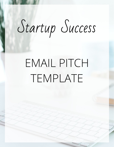# Startup Success

## EMAIL PITCH TEMPLATE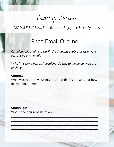Startup Success

MODULE 5 // Easy, Effective, and Enjoyable Sales Systems

### Pitch Email Outline

*Complete this outline to clarify the thoughts you'll express in your persuasive pitch email.*

*Write in "second person," speaking directly to the person you are pitching.*

#### **Context**

What was your previous interaction with this prospect, or how did you find them?

\_\_\_\_\_\_\_\_\_\_\_\_\_\_\_\_\_\_\_\_\_\_\_\_\_\_\_\_\_\_\_\_\_\_\_\_\_\_\_\_\_\_\_\_\_\_\_\_\_\_\_\_\_\_\_\_\_\_\_\_\_\_\_\_\_

 $\frac{1}{2}$  ,  $\frac{1}{2}$  ,  $\frac{1}{2}$  ,  $\frac{1}{2}$  ,  $\frac{1}{2}$  ,  $\frac{1}{2}$  ,  $\frac{1}{2}$  ,  $\frac{1}{2}$  ,  $\frac{1}{2}$  ,  $\frac{1}{2}$  ,  $\frac{1}{2}$  ,  $\frac{1}{2}$  ,  $\frac{1}{2}$  ,  $\frac{1}{2}$  ,  $\frac{1}{2}$  ,  $\frac{1}{2}$  ,  $\frac{1}{2}$  ,  $\frac{1}{2}$  ,  $\frac{1$ 

\_\_\_\_\_\_\_\_\_\_\_\_\_\_\_\_\_\_\_\_\_\_\_\_\_\_\_\_\_\_\_\_\_\_\_\_\_\_\_\_\_\_\_\_\_\_\_\_\_\_\_\_\_\_\_\_\_\_\_\_\_\_\_\_\_

 $\mathcal{L}_\text{max}$  , and the contribution of the contribution of the contribution of the contribution of the contribution of the contribution of the contribution of the contribution of the contribution of the contribution of t

\_\_\_\_\_\_\_\_\_\_\_\_\_\_\_\_\_\_\_\_\_\_\_\_\_\_\_\_\_\_\_\_\_\_\_\_\_\_\_\_\_\_\_\_\_\_\_\_\_\_\_\_\_\_\_\_\_\_\_\_\_\_\_\_\_

\_\_\_\_\_\_\_\_\_\_\_\_\_\_\_\_\_\_\_\_\_\_\_\_\_\_\_\_\_\_\_\_\_\_\_\_\_\_\_\_\_\_\_\_\_\_\_\_\_\_\_\_\_\_\_\_\_\_\_\_\_\_\_\_\_

 $\mathcal{A} \longrightarrow \mathcal{A} \longrightarrow \mathcal{A} \longrightarrow \mathcal{A} \longrightarrow \mathcal{A} \longrightarrow \mathcal{A} \longrightarrow \mathcal{A}$ 

 $\frac{1}{2}$  ,  $\frac{1}{2}$  ,  $\frac{1}{2}$  ,  $\frac{1}{2}$  ,  $\frac{1}{2}$  ,  $\frac{1}{2}$  ,  $\frac{1}{2}$ 

**Status Quo** What's their current situation?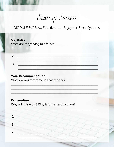Startup Success

MODULE 5 // Easy, Effective, and Enjoyable Sales Systems

| <b>Objective</b> | What are they trying to achieve? |
|------------------|----------------------------------|
| 2                |                                  |
| 3                |                                  |

#### **Your Recommendation**

What do you recommend that they do?

#### **Explanation**

Why will this work? Why is it the best solution?

1.  $2.$ 3.  $\overline{4}$ .